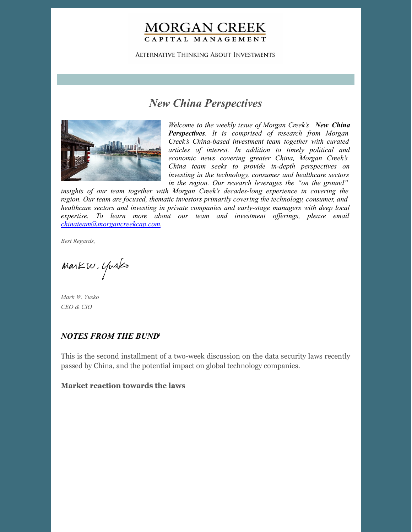# **MORGAN CREEK** CAPITAL MANAGEMENT

**ALTERNATIVE THINKING ABOUT INVESTMENTS** 

# *New China Perspectives*



*Welcome to the weekly issue of Morgan Creek's New China Perspectives. It is comprised of research from Morgan Creek's China-based investment team together with curated articles of interest. In addition to timely political and economic news covering greater China, Morgan Creek's China team seeks to provide in-depth perspectives on investing in the technology, consumer and healthcare sectors in the region. Our research leverages the "on the ground"*

*insights of our team together with Morgan Creek's decades-long experience in covering the region. Our team are focused, thematic investors primarily covering the technology, consumer, and healthcare sectors and investing in private companies and early-stage managers with deep local expertise. To learn more about our team and investment of erings, please email [chinateam@morgancreekcap.com](mailto:chinateam@morgancreekcap.com).*

*Best Regards,*

Markw. Yusko

*Mark W. Yusko CEO & CIO*

## *NOTES FROM THE BUND* 1

This is the second installment of a two-week discussion on the data security laws recently passed by China, and the potential impact on global technology companies.

## **Market reaction towards the laws**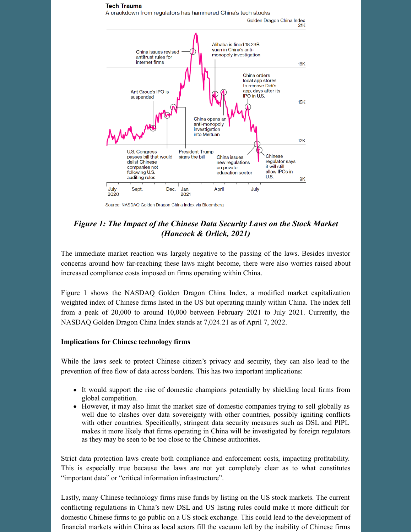

Source: NASDAQ Golden Dragon China Index via Bloomberg

## *Figure 1: The Impact of the Chinese Data Security Laws on the Stock Market (Hancock & Orlick, 2021)*

The immediate market reaction was largely negative to the passing of the laws. Besides investor concerns around how far-reaching these laws might become, there were also worries raised about increased compliance costs imposed on firms operating within China.

Figure 1 shows the NASDAQ Golden Dragon China Index, a modified market capitalization weighted index of Chinese firms listed in the US but operating mainly within China. The index fell from a peak of 20,000 to around 10,000 between February 2021 to July 2021. Currently, the NASDAQ Golden Dragon China Index stands at 7,024.21 as of April 7, 2022.

### **Implications for Chinese technology firms**

While the laws seek to protect Chinese citizen's privacy and security, they can also lead to the prevention of free flow of data across borders. This has two important implications:

- It would support the rise of domestic champions potentially by shielding local firms from global competition.
- However, it may also limit the market size of domestic companies trying to sell globally as well due to clashes over data sovereignty with other countries, possibly igniting conflicts with other countries. Specifically, stringent data security measures such as DSL and PIPL makes it more likely that firms operating in China will be investigated by foreign regulators as they may be seen to be too close to the Chinese authorities.

Strict data protection laws create both compliance and enforcement costs, impacting profitability. This is especially true because the laws are not yet completely clear as to what constitutes "important data" or "critical information infrastructure".

Lastly, many Chinese technology firms raise funds by listing on the US stock markets. The current conflicting regulations in China's new DSL and US listing rules could make it more difficult for domestic Chinese firms to go public on a US stock exchange. This could lead to the development of financial markets within China as local actors fill the vacuum left by the inability of Chinese firms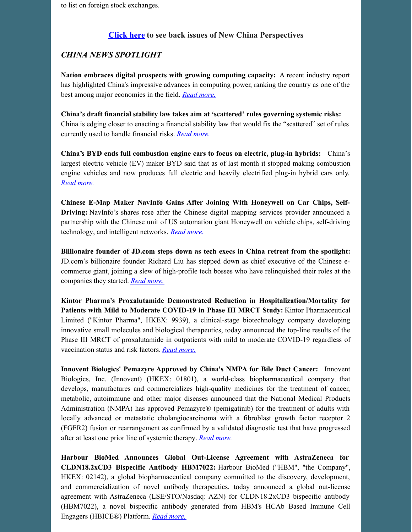### **[Click](https://www.morgancreekcap.com/market-commentary/#investment-process) here to see back issues of New China Perspectives**

## *CHINA NEWS SPOTLIGHT*

**Nation embraces digital prospects with growing computing capacity:** A recent industry report has highlighted China's impressive advances in computing power, ranking the country as one of the best among major economies in the field. *Read [more.](https://global.chinadaily.com.cn/a/202204/07/WS624e3e4ba310fd2b29e55795.html)*

**China's draft financial stability law takes aim at 'scattered' rules governing systemic risks:** China is edging closer to enacting a financial stability law that would fix the "scattered" set of rules currently used to handle financial risks. *Read [more.](https://www.scmp.com/economy/china-economy/article/3173455/chinas-draft-financial-stability-law-takes-aim-scattered)*

**China's BYD ends full combustion engine cars to focus on electric, plug-in hybrids:** China's largest electric vehicle (EV) maker BYD said that as of last month it stopped making combustion engine vehicles and now produces full electric and heavily electrified plug-in hybrid cars only. *Read [more.](https://www.cnbc.com/2022/04/03/chinas-byd-ends-full-combustion-engine-cars-to-focus-on-electric-plug-in-hybrids.html)*

**Chinese E-Map Maker NavInfo Gains After Joining With Honeywell on Car Chips, Self-Driving:** NavInfo's shares rose after the Chinese digital mapping services provider announced a partnership with the Chinese unit of US automation giant Honeywell on vehicle chips, self-driving technology, and intelligent networks. *Read [more.](https://www.yicaiglobal.com/news/chinese-e-map-maker-navinfo-gains-on-car-chips-self-driving-partnership-with-honeywell)*

**Billionaire founder of JD.com steps down as tech execs in China retreat from the spotlight:** JD.com's billionaire founder Richard Liu has stepped down as chief executive of the Chinese ecommerce giant, joining a slew of high-profile tech bosses who have relinquished their roles at the companies they started. *Read [more.](https://www.cnbc.com/2022/04/07/jdcom-founder-richard-liu-steps-down-as-ceo-of-e-commerce-giant.html)*

**Kintor Pharma's Proxalutamide Demonstrated Reduction in Hospitalization/Mortality for Patients with Mild to Moderate COVID-19 in Phase III MRCT Study:** Kintor Pharmaceutical Limited ("Kintor Pharma", HKEX: 9939), a clinical-stage biotechnology company developing innovative small molecules and biological therapeutics, today announced the top-line results of the Phase III MRCT of proxalutamide in outpatients with mild to moderate COVID-19 regardless of vaccination status and risk factors. *Read [more.](https://www.prnewswire.com/news-releases/kintor-pharmas-proxalutamide-demonstrated-reduction-in-hospitalizationmortality-for-patients-with-mild-to-moderate-covid-19-in-phase-iii-mrct-study-301518525.html)*

**Innovent Biologics' Pemazyre Approved by China's NMPA for Bile Duct Cancer:** Innovent Biologics, Inc. (Innovent) (HKEX: 01801), a world-class biopharmaceutical company that develops, manufactures and commercializes high-quality medicines for the treatment of cancer, metabolic, autoimmune and other major diseases announced that the National Medical Products Administration (NMPA) has approved Pemazyre® (pemigatinib) for the treatment of adults with locally advanced or metastatic cholangiocarcinoma with a fibroblast growth factor receptor 2 (FGFR2) fusion or rearrangement as confirmed by a validated diagnostic test that have progressed after at least one prior line of systemic therapy. *Read [more.](https://www.prnewswire.com/news-releases/innovent-announces-the-approval-of-pemazyre-pemigatinib-by-the-nmpa-for-the-treatment-of-adults-with-locally-advanced-or-metastatic-cholangiocarcinoma-with-a-fgfr2-fusion-or-rearrangement-as-confirmed-by-a-validated-diagnostic--301518629.html)*

**Harbour BioMed Announces Global Out-License Agreement with AstraZeneca for CLDN18.2xCD3 Bispecific Antibody HBM7022:** Harbour BioMed ("HBM", "the Company", HKEX: 02142), a global biopharmaceutical company committed to the discovery, development, and commercialization of novel antibody therapeutics, today announced a global out-license agreement with AstraZeneca (LSE/STO/Nasdaq: AZN) for CLDN18.2xCD3 bispecific antibody (HBM7022), a novel bispecific antibody generated from HBM's HCAb Based Immune Cell Engagers (HBICE®) Platform. *Read [more.](https://www.prnewswire.com/news-releases/harbour-biomed-announces-global-out-license-agreement-with-astrazeneca-for-cldn18-2xcd3-bispecific-antibody-hbm7022--301519595.html)*